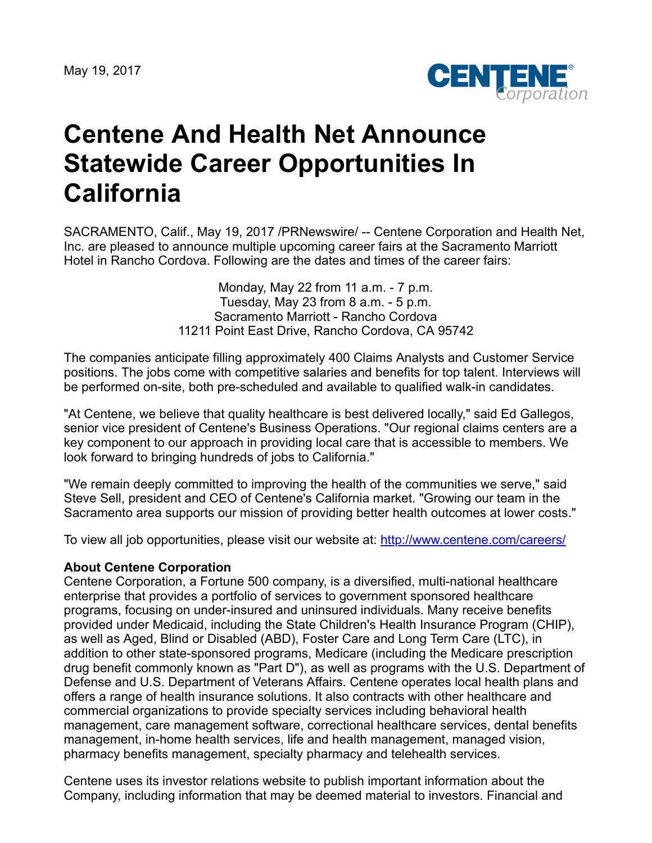

## **Centene And Health Net Announce Statewide Career Opportunities In California**

SACRAMENTO, Calif., May 19, 2017 /PRNewswire/ -- Centene Corporation and Health Net, Inc. are pleased to announce multiple upcoming career fairs at the Sacramento Marriott Hotel in Rancho Cordova. Following are the dates and times of the career fairs:

> Monday, May 22 from 11 a.m. - 7 p.m. Tuesday, May 23 from 8 a.m. - 5 p.m. Sacramento Marriott - Rancho Cordova 11211 Point East Drive, Rancho Cordova, CA 95742

The companies anticipate filling approximately 400 Claims Analysts and Customer Service positions. The jobs come with competitive salaries and benefits for top talent. Interviews will be performed on-site, both pre-scheduled and available to qualified walk-in candidates.

"At Centene, we believe that quality healthcare is best delivered locally," said Ed Gallegos, senior vice president of Centene's Business Operations. "Our regional claims centers are a key component to our approach in providing local care that is accessible to members. We look forward to bringing hundreds of jobs to California."

"We remain deeply committed to improving the health of the communities we serve," said Steve Sell, president and CEO of Centene's California market. "Growing our team in the Sacramento area supports our mission of providing better health outcomes at lower costs."

To view all job opportunities, please visit our website at: <http://www.centene.com/careers/>

## **About Centene Corporation**

Centene Corporation, a Fortune 500 company, is a diversified, multi-national healthcare enterprise that provides a portfolio of services to government sponsored healthcare programs, focusing on under-insured and uninsured individuals. Many receive benefits provided under Medicaid, including the State Children's Health Insurance Program (CHIP), as well as Aged, Blind or Disabled (ABD), Foster Care and Long Term Care (LTC), in addition to other state-sponsored programs, Medicare (including the Medicare prescription drug benefit commonly known as "Part D"), as well as programs with the U.S. Department of Defense and U.S. Department of Veterans Affairs. Centene operates local health plans and offers a range of health insurance solutions. It also contracts with other healthcare and commercial organizations to provide specialty services including behavioral health management, care management software, correctional healthcare services, dental benefits management, in-home health services, life and health management, managed vision, pharmacy benefits management, specialty pharmacy and telehealth services.

Centene uses its investor relations website to publish important information about the Company, including information that may be deemed material to investors. Financial and